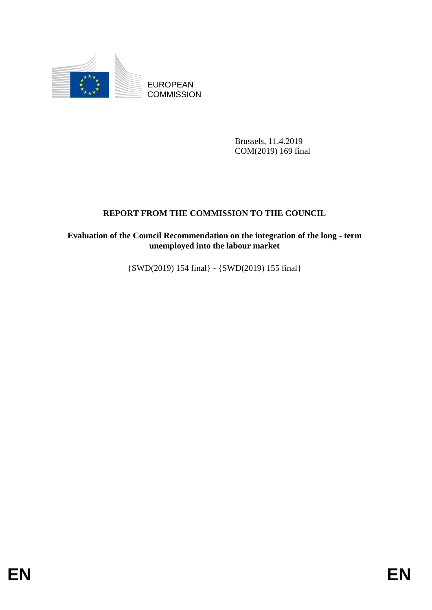

**COMMISSION** 

Brussels, 11.4.2019 COM(2019) 169 final

# **REPORT FROM THE COMMISSION TO THE COUNCIL**

# EUROPEAN<br>
ENDERSION<br>
COMMISSION<br>
Throwsky, 11,4-2019<br>
COMODI9) (89 final<br>
REPORT FROM THE COMMISSION TO THE COUNCIL<br>
Evaluation of the Comell Recommendation on the leng-term<br>
(SWD(2019) 154 final) - (SWD(2019) 155 final)<br> **Evaluation of the Council Recommendation on the integration of the long - term unemployed into the labour market**

{SWD(2019) 154 final} - {SWD(2019) 155 final}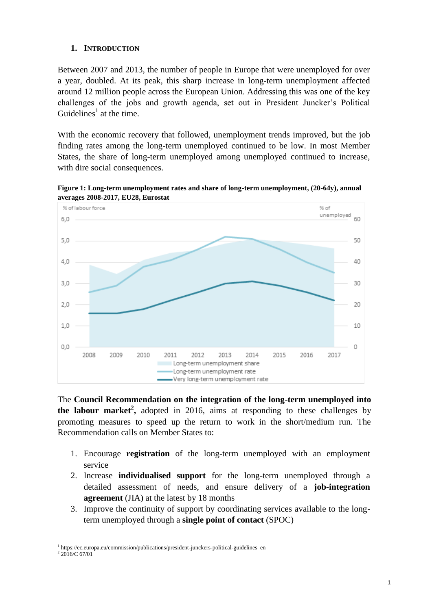# **1. INTRODUCTION**

Between 2007 and 2013, the number of people in Europe that were unemployed for over a year, doubled. At its peak, this sharp increase in long-term unemployment affected around 12 million people across the European Union. Addressing this was one of the key challenges of the jobs and growth agenda, set out in President Juncker's Political Guidelines<sup>1</sup> at the time.

With the economic recovery that followed, unemployment trends improved, but the job finding rates among the long-term unemployed continued to be low. In most Member States, the share of long-term unemployed among unemployed continued to increase, with dire social consequences.

**Figure 1: Long-term unemployment rates and share of long-term unemployment, (20-64y), annual averages 2008-2017, EU28, Eurostat**



The **Council Recommendation on the integration of the long-term unemployed into the labour market<sup>2</sup>**, adopted in 2016, aims at responding to these challenges by promoting measures to speed up the return to work in the short/medium run. The Recommendation calls on Member States to:

- 1. Encourage **registration** of the long-term unemployed with an employment service
- 2. Increase **individualised support** for the long-term unemployed through a detailed assessment of needs, and ensure delivery of a **job-integration agreement** (JIA) at the latest by 18 months
- 3. Improve the continuity of support by coordinating services available to the longterm unemployed through a **single point of contact** (SPOC)

<sup>&</sup>lt;sup>1</sup> https://ec.europa.eu/commission/publications/president-junckers-political-guidelines\_en

 $2\,2016$ /C 67/01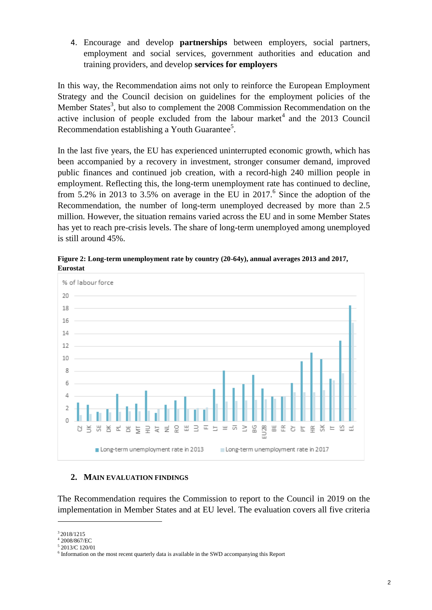4. Encourage and develop **partnerships** between employers, social partners, employment and social services, government authorities and education and training providers, and develop **services for employers**

In this way, the Recommendation aims not only to reinforce the European Employment Strategy and the Council decision on guidelines for the employment policies of the Member States<sup>3</sup>, but also to complement the 2008 Commission Recommendation on the active inclusion of people excluded from the labour market<sup>4</sup> and the 2013 Council Recommendation establishing a Youth Guarantee<sup>5</sup>.

In the last five years, the EU has experienced uninterrupted economic growth, which has been accompanied by a recovery in investment, stronger consumer demand, improved public finances and continued job creation, with a record-high 240 million people in employment. Reflecting this, the long-term unemployment rate has continued to decline, from 5.2% in 2013 to 3.5% on average in the EU in 2017.<sup>6</sup> Since the adoption of the Recommendation, the number of long-term unemployed decreased by more than 2.5 million. However, the situation remains varied across the EU and in some Member States has yet to reach pre-crisis levels. The share of long-term unemployed among unemployed is still around 45%.



**Figure 2: Long-term unemployment rate by country (20-64y), annual averages 2013 and 2017, Eurostat**

# **2. MAIN EVALUATION FINDINGS**

The Recommendation requires the Commission to report to the Council in 2019 on the implementation in Member States and at EU level. The evaluation covers all five criteria

<sup>3</sup> 2018/1215

<sup>4</sup> 2008/867/EC

<sup>5</sup> 2013/C 120/01

<sup>&</sup>lt;sup>6</sup> Information on the most recent quarterly data is available in the SWD accompanying this Report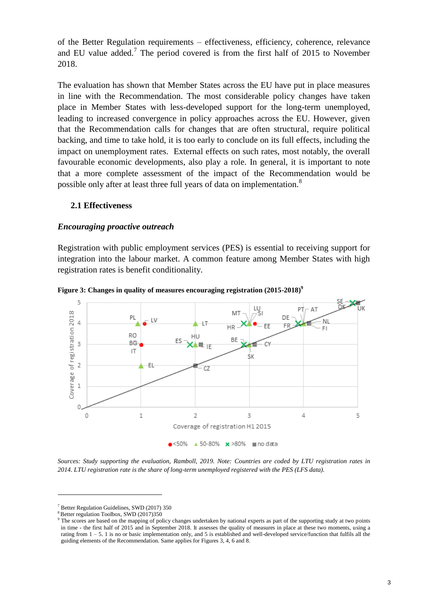of the Better Regulation requirements – effectiveness, efficiency, coherence, relevance and EU value added.<sup>7</sup> The period covered is from the first half of 2015 to November 2018.

The evaluation has shown that Member States across the EU have put in place measures in line with the Recommendation. The most considerable policy changes have taken place in Member States with less-developed support for the long-term unemployed, leading to increased convergence in policy approaches across the EU. However, given that the Recommendation calls for changes that are often structural, require political backing, and time to take hold, it is too early to conclude on its full effects, including the impact on unemployment rates. External effects on such rates, most notably, the overall favourable economic developments, also play a role. In general, it is important to note that a more complete assessment of the impact of the Recommendation would be possible only after at least three full years of data on implementation.<sup>8</sup>

# **2.1 Effectiveness**

### *Encouraging proactive outreach*

Registration with public employment services (PES) is essential to receiving support for integration into the labour market. A common feature among Member States with high registration rates is benefit conditionality.



**Figure 3: Changes in quality of measures encouraging registration (2015-2018)<sup>9</sup>**

*Sources: Study supporting the evaluation, Ramboll, 2019. Note: Countries are coded by LTU registration rates in 2014. LTU registration rate is the share of long-term unemployed registered with the PES (LFS data).* 

<sup>7</sup> Better Regulation Guidelines, SWD (2017) 350

<sup>&</sup>lt;sup>8</sup> Better regulation Toolbox, SWD (2017)350

<sup>&</sup>lt;sup>9</sup> The scores are based on the mapping of policy changes undertaken by national experts as part of the supporting study at two points in time - the first half of 2015 and in September 2018. It assesses the quality of measures in place at these two moments, using a rating from 1 – 5. 1 is no or basic implementation only, and 5 is established and well-developed service/function that fulfils all the guiding elements of the Recommendation. Same applies for Figures 3, 4, 6 and 8.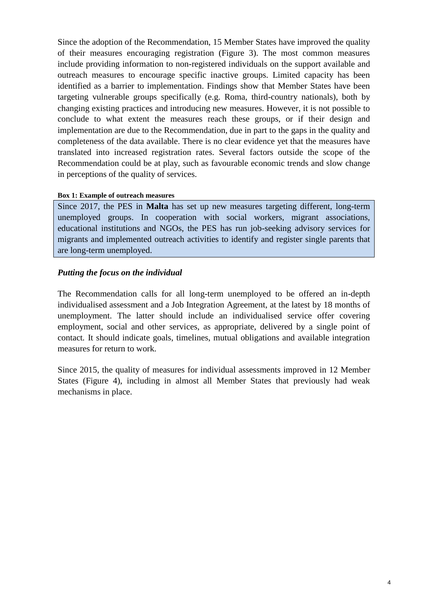Since the adoption of the Recommendation, 15 Member States have improved the quality of their measures encouraging registration (Figure 3). The most common measures include providing information to non-registered individuals on the support available and outreach measures to encourage specific inactive groups. Limited capacity has been identified as a barrier to implementation. Findings show that Member States have been targeting vulnerable groups specifically (e.g. Roma, third-country nationals), both by changing existing practices and introducing new measures. However, it is not possible to conclude to what extent the measures reach these groups, or if their design and implementation are due to the Recommendation, due in part to the gaps in the quality and completeness of the data available. There is no clear evidence yet that the measures have translated into increased registration rates. Several factors outside the scope of the Recommendation could be at play, such as favourable economic trends and slow change in perceptions of the quality of services.

### **Box 1: Example of outreach measures**

Since 2017, the PES in **Malta** has set up new measures targeting different, long-term unemployed groups. In cooperation with social workers, migrant associations, educational institutions and NGOs, the PES has run job-seeking advisory services for migrants and implemented outreach activities to identify and register single parents that are long-term unemployed.

# *Putting the focus on the individual*

The Recommendation calls for all long-term unemployed to be offered an in-depth individualised assessment and a Job Integration Agreement, at the latest by 18 months of unemployment. The latter should include an individualised service offer covering employment, social and other services, as appropriate, delivered by a single point of contact*.* It should indicate goals, timelines, mutual obligations and available integration measures for return to work.

Since 2015, the quality of measures for individual assessments improved in 12 Member States (Figure 4), including in almost all Member States that previously had weak mechanisms in place.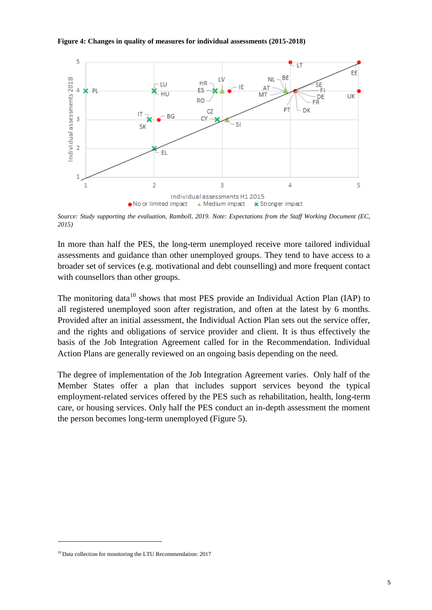### **Figure 4: Changes in quality of measures for individual assessments (2015-2018)**



*Source: Study supporting the evaluation, Ramboll, 2019. Note: Expectations from the Staff Working Document (EC, 2015)*

In more than half the PES, the long-term unemployed receive more tailored individual assessments and guidance than other unemployed groups. They tend to have access to a broader set of services (e.g. motivational and debt counselling) and more frequent contact with counsellors than other groups.

The monitoring data<sup>10</sup> shows that most PES provide an Individual Action Plan (IAP) to all registered unemployed soon after registration, and often at the latest by 6 months. Provided after an initial assessment, the Individual Action Plan sets out the service offer, and the rights and obligations of service provider and client. It is thus effectively the basis of the Job Integration Agreement called for in the Recommendation. Individual Action Plans are generally reviewed on an ongoing basis depending on the need.

The degree of implementation of the Job Integration Agreement varies. Only half of the Member States offer a plan that includes support services beyond the typical employment-related services offered by the PES such as rehabilitation, health, long-term care, or housing services. Only half the PES conduct an in-depth assessment the moment the person becomes long-term unemployed (Figure 5).

-

<sup>&</sup>lt;sup>10</sup> Data collection for monitoring the LTU Recommendation: 2017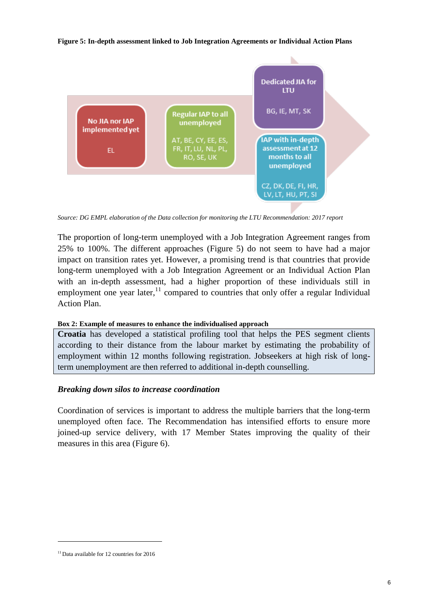### **Figure 5: In-depth assessment linked to Job Integration Agreements or Individual Action Plans**



*Source: DG EMPL elaboration of the Data collection for monitoring the LTU Recommendation: 2017 report*

The proportion of long-term unemployed with a Job Integration Agreement ranges from 25% to 100%. The different approaches (Figure 5) do not seem to have had a major impact on transition rates yet. However, a promising trend is that countries that provide long-term unemployed with a Job Integration Agreement or an Individual Action Plan with an in-depth assessment, had a higher proportion of these individuals still in employment one year later,  $11$  compared to countries that only offer a regular Individual Action Plan.

# **Box 2: Example of measures to enhance the individualised approach**

**Croatia** has developed a statistical profiling tool that helps the PES segment clients according to their distance from the labour market by estimating the probability of employment within 12 months following registration. Jobseekers at high risk of longterm unemployment are then referred to additional in-depth counselling.

# *Breaking down silos to increase coordination*

Coordination of services is important to address the multiple barriers that the long-term unemployed often face. The Recommendation has intensified efforts to ensure more joined-up service delivery, with 17 Member States improving the quality of their measures in this area (Figure 6).

-

<sup>&</sup>lt;sup>11</sup> Data available for 12 countries for 2016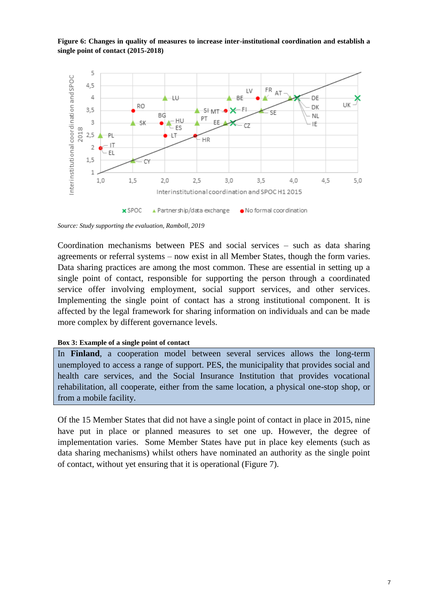**Figure 6: Changes in quality of measures to increase inter-institutional coordination and establish a single point of contact (2015-2018)**



*Source: Study supporting the evaluation, Ramboll, 2019*

Coordination mechanisms between PES and social services – such as data sharing agreements or referral systems – now exist in all Member States, though the form varies. Data sharing practices are among the most common. These are essential in setting up a single point of contact, responsible for supporting the person through a coordinated service offer involving employment, social support services, and other services. Implementing the single point of contact has a strong institutional component. It is affected by the legal framework for sharing information on individuals and can be made more complex by different governance levels.

### **Box 3: Example of a single point of contact**

In **Finland**, a cooperation model between several services allows the long-term unemployed to access a range of support. PES, the municipality that provides social and health care services, and the Social Insurance Institution that provides vocational rehabilitation, all cooperate, either from the same location, a physical one-stop shop, or from a mobile facility.

Of the 15 Member States that did not have a single point of contact in place in 2015, nine have put in place or planned measures to set one up. However, the degree of implementation varies. Some Member States have put in place key elements (such as data sharing mechanisms) whilst others have nominated an authority as the single point of contact, without yet ensuring that it is operational (Figure 7).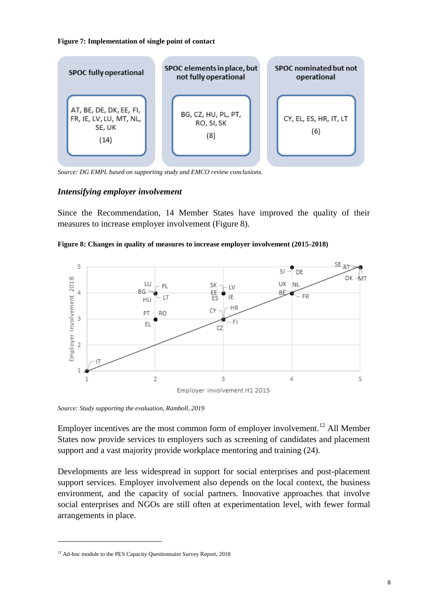### **Figure 7: Implementation of single point of contact**



*Source: DG EMPL based on supporting study and EMCO review conclusions.*

# *Intensifying employer involvement*

Since the Recommendation, 14 Member States have improved the quality of their measures to increase employer involvement (Figure 8).





*Source: Study supporting the evaluation, Ramboll, 2019*

Employer incentives are the most common form of employer involvement.<sup>12</sup> All Member States now provide services to employers such as screening of candidates and placement support and a vast majority provide workplace mentoring and training (24).

Developments are less widespread in support for social enterprises and post-placement support services. Employer involvement also depends on the local context, the business environment, and the capacity of social partners. Innovative approaches that involve social enterprises and NGOs are still often at experimentation level, with fewer formal arrangements in place.

-

<sup>&</sup>lt;sup>12</sup> Ad-hoc module to the PES Capacity Questionnaire Survey Report, 2018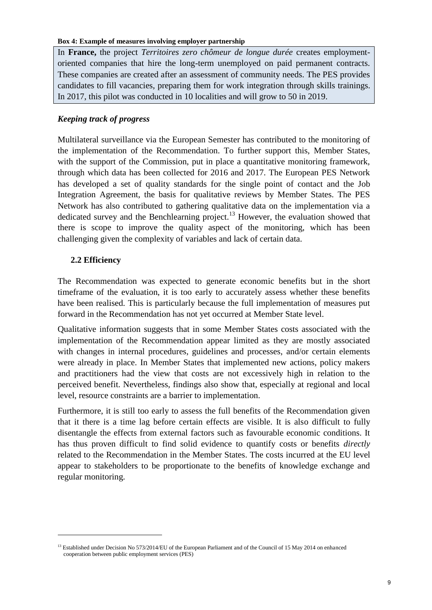### **Box 4: Example of measures involving employer partnership**

In **France,** the project *Territoires zero chômeur de longue durée* creates employmentoriented companies that hire the long-term unemployed on paid permanent contracts. These companies are created after an assessment of community needs. The PES provides candidates to fill vacancies, preparing them for work integration through skills trainings. In 2017, this pilot was conducted in 10 localities and will grow to 50 in 2019.

# *Keeping track of progress*

Multilateral surveillance via the European Semester has contributed to the monitoring of the implementation of the Recommendation. To further support this, Member States, with the support of the Commission, put in place a quantitative monitoring framework, through which data has been collected for 2016 and 2017. The European PES Network has developed a set of quality standards for the single point of contact and the Job Integration Agreement, the basis for qualitative reviews by Member States. The PES Network has also contributed to gathering qualitative data on the implementation via a dedicated survey and the Benchlearning project.<sup>13</sup> However, the evaluation showed that there is scope to improve the quality aspect of the monitoring, which has been challenging given the complexity of variables and lack of certain data.

# **2.2 Efficiency**

<u>.</u>

The Recommendation was expected to generate economic benefits but in the short timeframe of the evaluation, it is too early to accurately assess whether these benefits have been realised. This is particularly because the full implementation of measures put forward in the Recommendation has not yet occurred at Member State level.

Qualitative information suggests that in some Member States costs associated with the implementation of the Recommendation appear limited as they are mostly associated with changes in internal procedures, guidelines and processes, and/or certain elements were already in place. In Member States that implemented new actions, policy makers and practitioners had the view that costs are not excessively high in relation to the perceived benefit. Nevertheless, findings also show that, especially at regional and local level, resource constraints are a barrier to implementation.

Furthermore, it is still too early to assess the full benefits of the Recommendation given that it there is a time lag before certain effects are visible. It is also difficult to fully disentangle the effects from external factors such as favourable economic conditions. It has thus proven difficult to find solid evidence to quantify costs or benefits *directly* related to the Recommendation in the Member States. The costs incurred at the EU level appear to stakeholders to be proportionate to the benefits of knowledge exchange and regular monitoring.

<sup>&</sup>lt;sup>13</sup> Established under Decision No 573/2014/EU of the European Parliament and of the Council of 15 May 2014 on enhanced cooperation between public employment services (PES)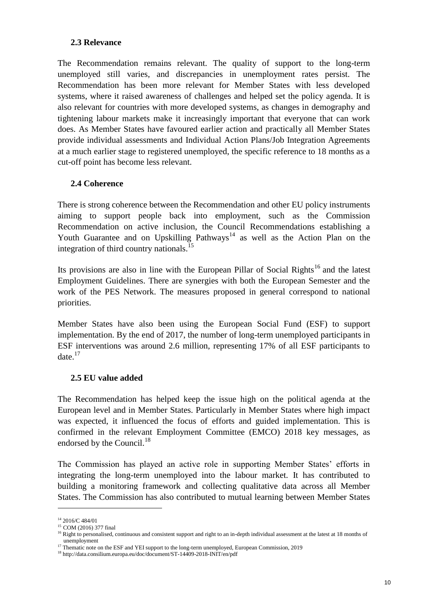# **2.3 Relevance**

The Recommendation remains relevant. The quality of support to the long-term unemployed still varies, and discrepancies in unemployment rates persist. The Recommendation has been more relevant for Member States with less developed systems, where it raised awareness of challenges and helped set the policy agenda. It is also relevant for countries with more developed systems, as changes in demography and tightening labour markets make it increasingly important that everyone that can work does. As Member States have favoured earlier action and practically all Member States provide individual assessments and Individual Action Plans/Job Integration Agreements at a much earlier stage to registered unemployed, the specific reference to 18 months as a cut-off point has become less relevant.

# **2.4 Coherence**

There is strong coherence between the Recommendation and other EU policy instruments aiming to support people back into employment, such as the Commission Recommendation on active inclusion, the Council Recommendations establishing a Youth Guarantee and on Upskilling Pathways<sup>14</sup> as well as the Action Plan on the integration of third country nationals.<sup>15</sup>

Its provisions are also in line with the European Pillar of Social Rights<sup>16</sup> and the latest Employment Guidelines. There are synergies with both the European Semester and the work of the PES Network. The measures proposed in general correspond to national priorities.

Member States have also been using the European Social Fund (ESF) to support implementation. By the end of 2017, the number of long-term unemployed participants in ESF interventions was around 2.6 million, representing 17% of all ESF participants to date. $17$ 

# **2.5 EU value added**

The Recommendation has helped keep the issue high on the political agenda at the European level and in Member States. Particularly in Member States where high impact was expected, it influenced the focus of efforts and guided implementation. This is confirmed in the relevant Employment Committee (EMCO) 2018 key messages, as endorsed by the Council.<sup>18</sup>

The Commission has played an active role in supporting Member States' efforts in integrating the long-term unemployed into the labour market. It has contributed to building a monitoring framework and collecting qualitative data across all Member States. The Commission has also contributed to mutual learning between Member States

<sup>14</sup> 2016/C 484/01

<sup>&</sup>lt;sup>15</sup> COM (2016) 377 final

<sup>&</sup>lt;sup>16</sup> Right to personalised, continuous and consistent support and right to an in-depth individual assessment at the latest at 18 months of unemployment

<sup>&</sup>lt;sup>17</sup> Thematic note on the ESF and YEI support to the long-term unemployed, European Commission, 2019

<sup>18</sup> http://data.consilium.europa.eu/doc/document/ST-14409-2018-INIT/en/pdf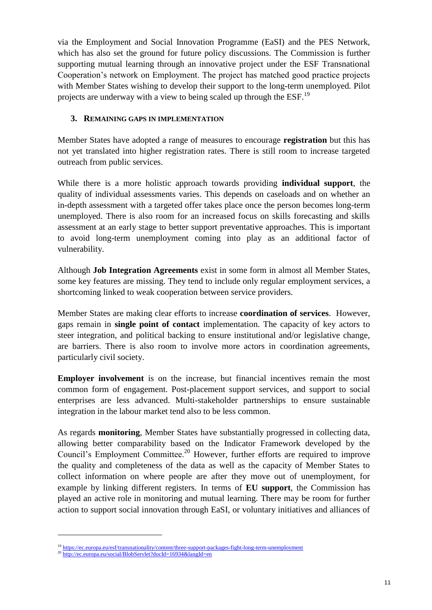via the Employment and Social Innovation Programme (EaSI) and the PES Network, which has also set the ground for future policy discussions. The Commission is further supporting mutual learning through an innovative project under the ESF Transnational Cooperation's network on Employment. The project has matched good practice projects with Member States wishing to develop their support to the long-term unemployed. Pilot projects are underway with a view to being scaled up through the ESF.<sup>19</sup>

# **3. REMAINING GAPS IN IMPLEMENTATION**

Member States have adopted a range of measures to encourage **registration** but this has not yet translated into higher registration rates. There is still room to increase targeted outreach from public services.

While there is a more holistic approach towards providing **individual support**, the quality of individual assessments varies. This depends on caseloads and on whether an in-depth assessment with a targeted offer takes place once the person becomes long-term unemployed. There is also room for an increased focus on skills forecasting and skills assessment at an early stage to better support preventative approaches. This is important to avoid long-term unemployment coming into play as an additional factor of vulnerability.

Although **Job Integration Agreements** exist in some form in almost all Member States, some key features are missing. They tend to include only regular employment services, a shortcoming linked to weak cooperation between service providers.

Member States are making clear efforts to increase **coordination of services**. However, gaps remain in **single point of contact** implementation. The capacity of key actors to steer integration, and political backing to ensure institutional and/or legislative change, are barriers. There is also room to involve more actors in coordination agreements, particularly civil society.

**Employer involvement** is on the increase, but financial incentives remain the most common form of engagement. Post-placement support services, and support to social enterprises are less advanced. Multi-stakeholder partnerships to ensure sustainable integration in the labour market tend also to be less common.

As regards **monitoring**, Member States have substantially progressed in collecting data, allowing better comparability based on the Indicator Framework developed by the Council's Employment Committee.<sup>20</sup> However, further efforts are required to improve the quality and completeness of the data as well as the capacity of Member States to collect information on where people are after they move out of unemployment, for example by linking different registers. In terms of **EU support**, the Commission has played an active role in monitoring and mutual learning. There may be room for further action to support social innovation through EaSI, or voluntary initiatives and alliances of

<sup>&</sup>lt;sup>19</sup> <https://ec.europa.eu/esf/transnationality/content/three-support-packages-fight-long-term-unemployment>

<sup>&</sup>lt;sup>20</sup> <http://ec.europa.eu/social/BlobServlet?docId=16934&langId=en>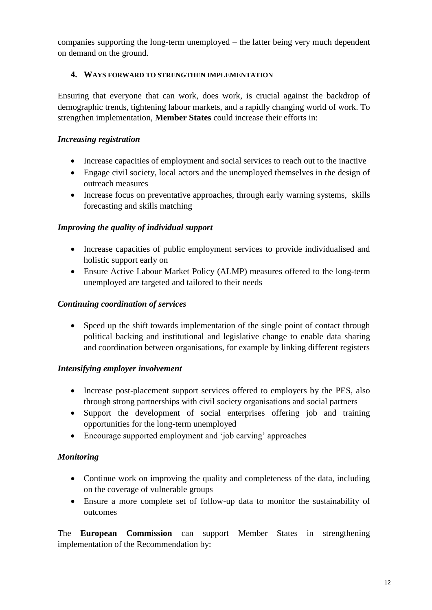companies supporting the long-term unemployed – the latter being very much dependent on demand on the ground.

# **4. WAYS FORWARD TO STRENGTHEN IMPLEMENTATION**

Ensuring that everyone that can work, does work, is crucial against the backdrop of demographic trends, tightening labour markets, and a rapidly changing world of work. To strengthen implementation, **Member States** could increase their efforts in:

# *Increasing registration*

- Increase capacities of employment and social services to reach out to the inactive
- Engage civil society, local actors and the unemployed themselves in the design of outreach measures
- Increase focus on preventative approaches, through early warning systems, skills forecasting and skills matching

# *Improving the quality of individual support*

- Increase capacities of public employment services to provide individualised and holistic support early on
- Ensure Active Labour Market Policy (ALMP) measures offered to the long-term unemployed are targeted and tailored to their needs

# *Continuing coordination of services*

• Speed up the shift towards implementation of the single point of contact through political backing and institutional and legislative change to enable data sharing and coordination between organisations, for example by linking different registers

# *Intensifying employer involvement*

- Increase post-placement support services offered to employers by the PES, also through strong partnerships with civil society organisations and social partners
- Support the development of social enterprises offering job and training opportunities for the long-term unemployed
- Encourage supported employment and 'job carving' approaches

# *Monitoring*

- Continue work on improving the quality and completeness of the data, including on the coverage of vulnerable groups
- Ensure a more complete set of follow-up data to monitor the sustainability of outcomes

The **European Commission** can support Member States in strengthening implementation of the Recommendation by: